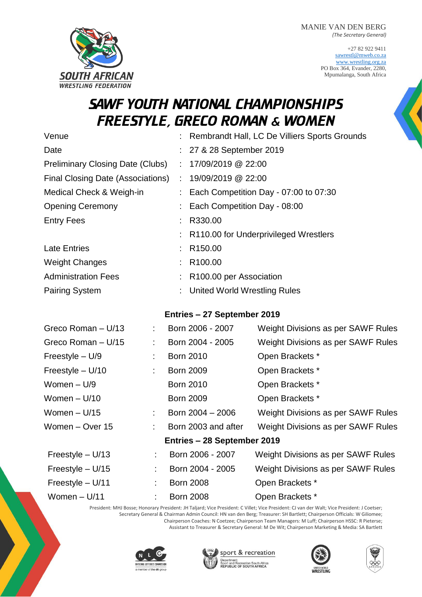+27 82 922 9411 [sawrestl@mweb.co.za](mailto:sawrestl@mweb.co.za) [www.wrestling.org.za](http://www.wrestling.org.za/) PO Box 364, Evander, 2280, Mpumalanga, South Africa

# SAWF YOUTH NATIONAL CHAMPIONSHIPS FREESTYLE, GRECO ROMAN & WOMEN

| Venue                                   | Rembrandt Hall, LC De Villiers Sports Grounds |  |
|-----------------------------------------|-----------------------------------------------|--|
| Date                                    | : 27 & 28 September 2019                      |  |
| <b>Preliminary Closing Date (Clubs)</b> | : $17/09/2019$ @ 22:00                        |  |
| Final Closing Date (Associations)       | : 19/09/2019 @ 22:00                          |  |
| Medical Check & Weigh-in                | Each Competition Day - 07:00 to 07:30         |  |
| <b>Opening Ceremony</b>                 | Each Competition Day - 08:00                  |  |
| <b>Entry Fees</b>                       | R330.00                                       |  |
|                                         | : R110.00 for Underprivileged Wrestlers       |  |
| <b>Late Entries</b>                     | R <sub>150.00</sub>                           |  |
| <b>Weight Changes</b>                   | R <sub>100.00</sub>                           |  |
| <b>Administration Fees</b>              | R100.00 per Association                       |  |
| <b>Pairing System</b>                   | <b>United World Wrestling Rules</b>           |  |
|                                         |                                               |  |

### **Entries – 27 September 2019**

| Greco Roman - U/13          | ÷. | Born 2006 - 2007    | Weight Divisions as per SAWF Rules |  |  |
|-----------------------------|----|---------------------|------------------------------------|--|--|
| Greco Roman - U/15          | t. | Born 2004 - 2005    | Weight Divisions as per SAWF Rules |  |  |
| Freestyle $- U/9$           | t. | <b>Born 2010</b>    | Open Brackets *                    |  |  |
| Freestyle $- U/10$          | ÷. | <b>Born 2009</b>    | Open Brackets *                    |  |  |
| Women $-$ U/9               |    | <b>Born 2010</b>    | Open Brackets *                    |  |  |
| Women $- U/10$              |    | <b>Born 2009</b>    | Open Brackets *                    |  |  |
| Women $- U/15$              | t. | Born 2004 - 2006    | Weight Divisions as per SAWF Rules |  |  |
| Women - Over 15             | ÷. | Born 2003 and after | Weight Divisions as per SAWF Rules |  |  |
| Entries - 28 September 2019 |    |                     |                                    |  |  |
| Freestyle $- U/13$          |    | Born 2006 - 2007    | Weight Divisions as per SAWF Rules |  |  |
| Freestyle $- U/15$          |    | Born 2004 - 2005    | Weight Divisions as per SAWF Rules |  |  |
| Freestyle $- U/11$          |    | <b>Born 2008</b>    | Open Brackets *                    |  |  |
| Women $- U/11$              |    | <b>Born 2008</b>    | Open Brackets *                    |  |  |

President: MHJ Bosse; Honorary President: JH Taljard; Vice President: C Villet; Vice President: CJ van der Walt; Vice President: J Coetser; Secretary General & Chairman Admin Council: HN van den Berg; Treasurer: SH Bartlett; Chairperson Officials: W Giliomee;

Chairperson Coaches: N Coetzee; Chairperson Team Managers: M Luff; Chairperson HSSC: R Pieterse; Assistant to Treasurer & Secretary General: M De Wit; Chairperson Marketing & Media: SA Bartlett









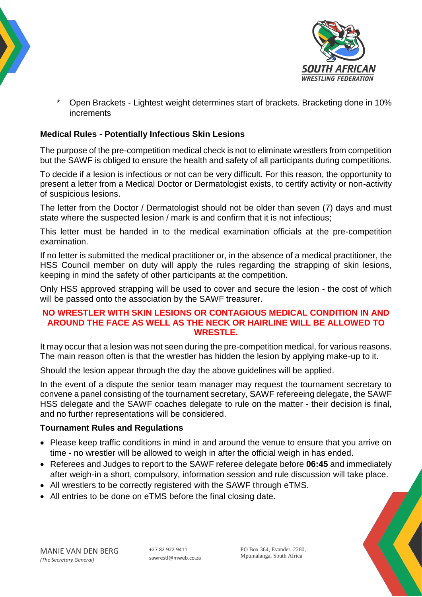



Open Brackets - Lightest weight determines start of brackets. Bracketing done in 10% increments

### **Medical Rules - Potentially Infectious Skin Lesions**

The purpose of the pre-competition medical check is not to eliminate wrestlers from competition but the SAWF is obliged to ensure the health and safety of all participants during competitions.

To decide if a lesion is infectious or not can be very difficult. For this reason, the opportunity to present a letter from a Medical Doctor or Dermatologist exists, to certify activity or non-activity of suspicious lesions.

The letter from the Doctor / Dermatologist should not be older than seven (7) days and must state where the suspected lesion / mark is and confirm that it is not infectious;

This letter must be handed in to the medical examination officials at the pre-competition examination.

If no letter is submitted the medical practitioner or, in the absence of a medical practitioner, the HSS Council member on duty will apply the rules regarding the strapping of skin lesions, keeping in mind the safety of other participants at the competition.

Only HSS approved strapping will be used to cover and secure the lesion - the cost of which will be passed onto the association by the SAWF treasurer.

#### **NO WRESTLER WITH SKIN LESIONS OR CONTAGIOUS MEDICAL CONDITION IN AND AROUND THE FACE AS WELL AS THE NECK OR HAIRLINE WILL BE ALLOWED TO WRESTLE.**

It may occur that a lesion was not seen during the pre-competition medical, for various reasons. The main reason often is that the wrestler has hidden the lesion by applying make-up to it.

Should the lesion appear through the day the above guidelines will be applied.

In the event of a dispute the senior team manager may request the tournament secretary to convene a panel consisting of the tournament secretary, SAWF refereeing delegate, the SAWF HSS delegate and the SAWF coaches delegate to rule on the matter - their decision is final, and no further representations will be considered.

### **Tournament Rules and Regulations**

- Please keep traffic conditions in mind in and around the venue to ensure that you arrive on time - no wrestler will be allowed to weigh in after the official weigh in has ended.
- Referees and Judges to report to the SAWF referee delegate before **06:45** and immediately after weigh-in a short, compulsory, information session and rule discussion will take place.
- All wrestlers to be correctly registered with the SAWF through eTMS.
- All entries to be done on eTMS before the final closing date.



PO Box 364, Evander, 2280, Mpumalanga, South Africa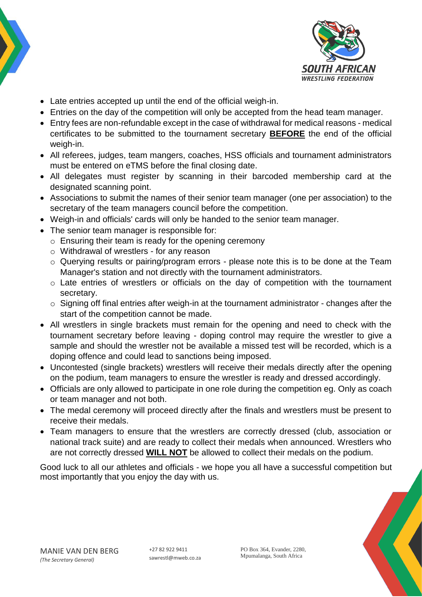



- Late entries accepted up until the end of the official weigh-in.
- Entries on the day of the competition will only be accepted from the head team manager.
- Entry fees are non-refundable except in the case of withdrawal for medical reasons medical certificates to be submitted to the tournament secretary **BEFORE** the end of the official weigh-in.
- All referees, judges, team mangers, coaches, HSS officials and tournament administrators must be entered on eTMS before the final closing date.
- All delegates must register by scanning in their barcoded membership card at the designated scanning point.
- Associations to submit the names of their senior team manager (one per association) to the secretary of the team managers council before the competition.
- Weigh-in and officials' cards will only be handed to the senior team manager.
- The senior team manager is responsible for:
	- o Ensuring their team is ready for the opening ceremony
	- o Withdrawal of wrestlers for any reason
	- o Querying results or pairing/program errors please note this is to be done at the Team Manager's station and not directly with the tournament administrators.
	- o Late entries of wrestlers or officials on the day of competition with the tournament secretary.
	- o Signing off final entries after weigh-in at the tournament administrator changes after the start of the competition cannot be made.
- All wrestlers in single brackets must remain for the opening and need to check with the tournament secretary before leaving - doping control may require the wrestler to give a sample and should the wrestler not be available a missed test will be recorded, which is a doping offence and could lead to sanctions being imposed.
- Uncontested (single brackets) wrestlers will receive their medals directly after the opening on the podium, team managers to ensure the wrestler is ready and dressed accordingly.
- Officials are only allowed to participate in one role during the competition eg. Only as coach or team manager and not both.
- The medal ceremony will proceed directly after the finals and wrestlers must be present to receive their medals.
- Team managers to ensure that the wrestlers are correctly dressed (club, association or national track suite) and are ready to collect their medals when announced. Wrestlers who are not correctly dressed **WILL NOT** be allowed to collect their medals on the podium.

Good luck to all our athletes and officials - we hope you all have a successful competition but most importantly that you enjoy the day with us.

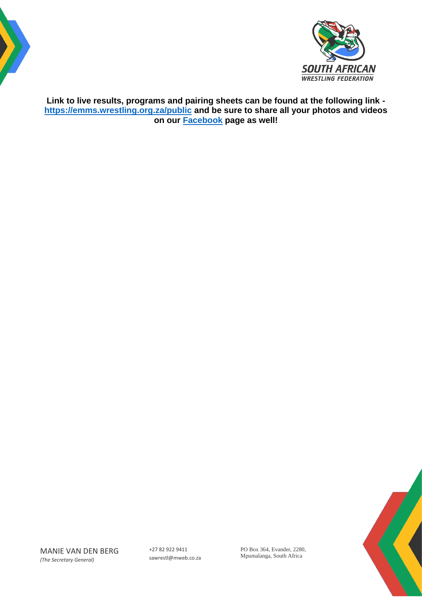



**Link to live results, programs and pairing sheets can be found at the following link <https://emms.wrestling.org.za/public> and be sure to share all your photos and videos on our [Facebook](https://www.facebook.com/WrestingSA/) page as well!**



PO Box 364, Evander, 2280, Mpumalanga, South Africa